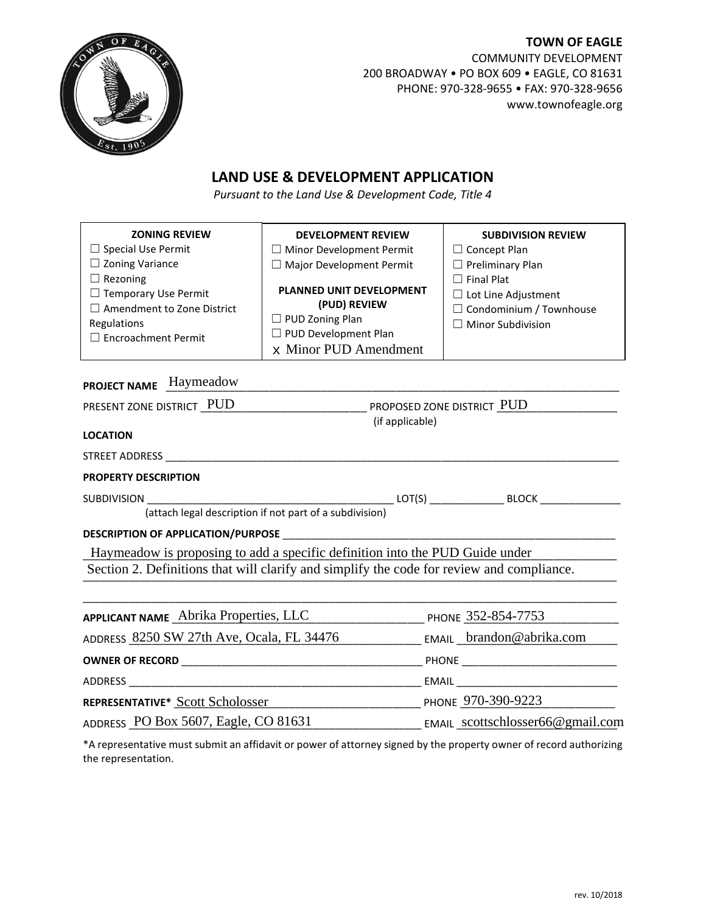

**TOWN OF EAGLE** COMMUNITY DEVELOPMENT 200 BROADWAY • PO BOX 609 • EAGLE, CO 81631 PHONE: 970-328-9655 • FAX: 970-328-9656 www.townofeagle.org

## **LAND USE & DEVELOPMENT APPLICATION**

*Pursuant to the Land Use & Development Code, Title 4*

| <b>ZONING REVIEW</b>                                                                                                        | <b>DEVELOPMENT REVIEW</b>                                                                                                           | <b>SUBDIVISION REVIEW</b>                                                                                     |
|-----------------------------------------------------------------------------------------------------------------------------|-------------------------------------------------------------------------------------------------------------------------------------|---------------------------------------------------------------------------------------------------------------|
| $\Box$ Special Use Permit                                                                                                   | $\Box$ Minor Development Permit                                                                                                     | $\Box$ Concept Plan                                                                                           |
| $\Box$ Zoning Variance                                                                                                      | $\Box$ Major Development Permit                                                                                                     | $\Box$ Preliminary Plan                                                                                       |
| $\Box$ Rezoning<br>$\Box$ Temporary Use Permit<br>$\Box$ Amendment to Zone District<br>Regulations<br>□ Encroachment Permit | <b>PLANNED UNIT DEVELOPMENT</b><br>(PUD) REVIEW<br>$\Box$ PUD Zoning Plan<br>$\Box$ PUD Development Plan<br>$x$ Minor PUD Amendment | $\Box$ Final Plat<br>$\Box$ Lot Line Adjustment<br>$\Box$ Condominium / Townhouse<br>$\Box$ Minor Subdivision |

## PROJECT NAME Haymeadow **Product to the Contract of Algorithm Contract and Algorithm Contract and Algorithm Contr**

| PRESENT ZONE DISTRICT PUD                                                                                                                                                 | PROPOSED ZONE DISTRICT PUD |                          |
|---------------------------------------------------------------------------------------------------------------------------------------------------------------------------|----------------------------|--------------------------|
| <b>LOCATION</b>                                                                                                                                                           | (if applicable)            |                          |
|                                                                                                                                                                           |                            |                          |
| <b>PROPERTY DESCRIPTION</b>                                                                                                                                               |                            |                          |
| (attach legal description if not part of a subdivision)                                                                                                                   |                            |                          |
|                                                                                                                                                                           |                            |                          |
| Haymeadow is proposing to add a specific definition into the PUD Guide under<br>Section 2. Definitions that will clarify and simplify the code for review and compliance. |                            |                          |
| APPLICANT NAME Abrika Properties, LLC                                                                                                                                     | PHONE 352-854-7753         |                          |
| ADDRESS 8250 SW 27th Ave, Ocala, FL 34476                                                                                                                                 |                            | EMAIL brandon@abrika.com |
|                                                                                                                                                                           |                            |                          |
|                                                                                                                                                                           |                            |                          |
| REPRESENTATIVE* Scott Scholosser                                                                                                                                          | PHONE 970-390-9223         |                          |

\*A representative must submit an affidavit or power of attorney signed by the property owner of record authorizing the representation.

ADDRESS PO Box 5607, Eagle, CO 81631 EMAIL scottschlosser66@gmail.com